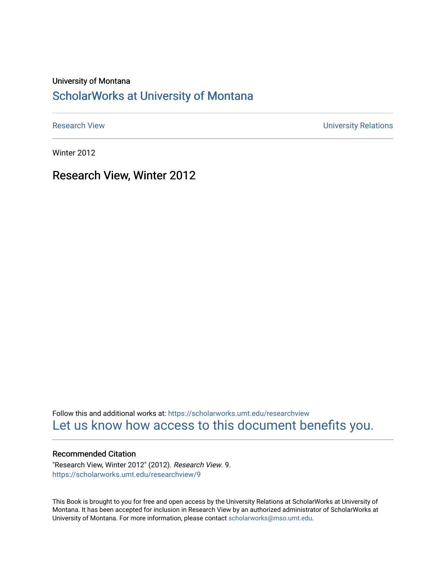#### University of Montana

#### [ScholarWorks at University of Montana](https://scholarworks.umt.edu/)

[Research View](https://scholarworks.umt.edu/researchview) **Network** Channels and Channels Channels Channels Channels Channels Channels University Relations

Winter 2012

Research View, Winter 2012

Follow this and additional works at: [https://scholarworks.umt.edu/researchview](https://scholarworks.umt.edu/researchview?utm_source=scholarworks.umt.edu%2Fresearchview%2F9&utm_medium=PDF&utm_campaign=PDFCoverPages)  [Let us know how access to this document benefits you.](https://goo.gl/forms/s2rGfXOLzz71qgsB2) 

#### Recommended Citation

"Research View, Winter 2012" (2012). Research View. 9. [https://scholarworks.umt.edu/researchview/9](https://scholarworks.umt.edu/researchview/9?utm_source=scholarworks.umt.edu%2Fresearchview%2F9&utm_medium=PDF&utm_campaign=PDFCoverPages) 

This Book is brought to you for free and open access by the University Relations at ScholarWorks at University of Montana. It has been accepted for inclusion in Research View by an authorized administrator of ScholarWorks at University of Montana. For more information, please contact [scholarworks@mso.umt.edu.](mailto:scholarworks@mso.umt.edu)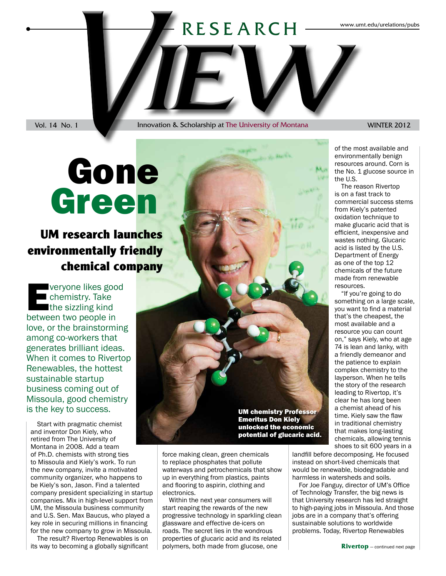# RESEARCH RESEARCH WWW.umt.edu/urelations/pubs

Vol. 14 No. 1 Innovation & Scholarship at The University of Montana WINTER 2012

## Green Gone

## **UM research launches environmentally friendly chemical company**

veryone likes good<br>
chemistry. Take<br>
the sizzling kind<br>
between two people in chemistry. Take the sizzling kind between two people in love, or the brainstorming among co-workers that generates brilliant ideas. When it comes to Rivertop Renewables, the hottest sustainable startup business coming out of Missoula, good chemistry is the key to success.

Start with pragmatic chemist and inventor Don Kiely, who retired from The University of Montana in 2008. Add a team of Ph.D. chemists with strong ties to Missoula and Kiely's work. To run the new company, invite a motivated community organizer, who happens to be Kiely's son, Jason. Find a talented company president specializing in startup companies. Mix in high-level support from UM, the Missoula business community and U.S. Sen. Max Baucus, who played a key role in securing millions in financing for the new company to grow in Missoula.

The result? Rivertop Renewables is on its way to becoming a globally significant

UM chemistry Professor Emeritus Don Kiely unlocked the economic potential of glucaric acid.

force making clean, green chemicals to replace phosphates that pollute waterways and petrochemicals that show up in everything from plastics, paints and flooring to aspirin, clothing and electronics.

Within the next year consumers will start reaping the rewards of the new progressive technology in sparkling clean glassware and effective de-icers on roads. The secret lies in the wondrous properties of glucaric acid and its related polymers, both made from glucose, one

of the most available and environmentally benign resources around. Corn is the No. 1 glucose source in the U.S.

The reason Rivertop is on a fast track to commercial success stems from Kiely's patented oxidation technique to make glucaric acid that is efficient, inexpensive and wastes nothing. Glucaric acid is listed by the U.S. Department of Energy as one of the top 12 chemicals of the future made from renewable resources.

"If you're going to do something on a large scale, you want to find a material that's the cheapest, the most available and a resource you can count on," says Kiely, who at age 74 is lean and lanky, with a friendly demeanor and the patience to explain complex chemistry to the layperson. When he tells the story of the research leading to Rivertop, it's clear he has long been a chemist ahead of his time. Kiely saw the flaw in traditional chemistry that makes long-lasting chemicals, allowing tennis shoes to sit 600 years in a

landfill before decomposing. He focused instead on short-lived chemicals that would be renewable, biodegradable and harmless in watersheds and soils.

For Joe Fanguy, director of UM's Office of Technology Transfer, the big news is that University research has led straight to high-paying jobs in Missoula. And those jobs are in a company that's offering sustainable solutions to worldwide problems. Today, Rivertop Renewables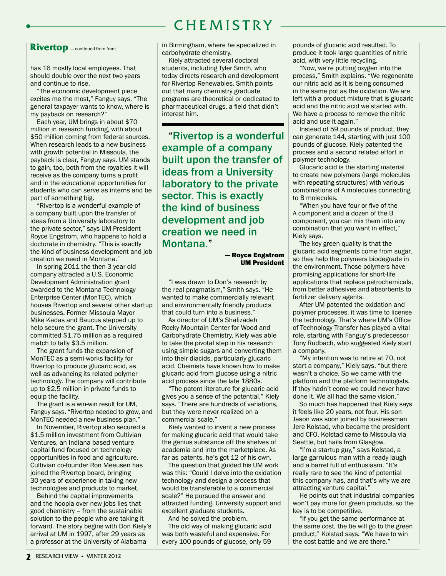## **CHEMISTRY**

#### **Rivertop** — continued from front

has 16 mostly local employees. That should double over the next two years and continue to rise.

"The economic development piece excites me the most," Fanguy says. "The general taxpayer wants to know, where is my payback on research?"

Each year, UM brings in about \$70 million in research funding, with about \$50 million coming from federal sources. When research leads to a new business with growth potential in Missoula, the payback is clear, Fanguy says. UM stands to gain, too, both from the royalties it will receive as the company turns a profit and in the educational opportunities for students who can serve as interns and be part of something big.

"Rivertop is a wonderful example of a company built upon the transfer of ideas from a University laboratory to the private sector," says UM President Royce Engstrom, who happens to hold a doctorate in chemistry. "This is exactly the kind of business development and job creation we need in Montana."

In spring 2011 the then-3-year-old company attracted a U.S. Economic Development Administration grant awarded to the Montana Technology Enterprise Center (MonTEC), which houses Rivertop and several other startup businesses. Former Missoula Mayor Mike Kadas and Baucus stepped up to help secure the grant. The University committed \$1.75 million as a required match to tally \$3.5 million.

The grant funds the expansion of MonTEC as a semi-works facility for Rivertop to produce glucaric acid, as well as advancing its related polymer technology. The company will contribute up to \$2.5 million in private funds to equip the facility.

The grant is a win-win result for UM, Fanguy says. "Rivertop needed to grow, and MonTEC needed a new business plan."

In November, Rivertop also secured a \$1.5 million investment from Cultivian Ventures, an Indiana-based venture capital fund focused on technology opportunities in food and agriculture. Cultivian co-founder Ron Meeusen has joined the Rivertop board, bringing 30 years of experience in taking new technologies and products to market.

Behind the capital improvements and the hoopla over new jobs lies that good chemistry – from the sustainable solution to the people who are taking it forward. The story begins with Don Kiely's arrival at UM in 1997, after 29 years as a professor at the University of Alabama

in Birmingham, where he specialized in carbohydrate chemistry.

Kiely attracted several doctoral students, including Tyler Smith, who today directs research and development for Rivertop Renewables. Smith points out that many chemistry graduate programs are theoretical or dedicated to pharmaceutical drugs, a field that didn't interest him.

"Rivertop is a wonderful example of a company built upon the transfer of ideas from a University laboratory to the private sector. This is exactly the kind of business development and job creation we need in Montana."

#### — Royce Engstrom UM President

"I was drawn to Don's research by the real pragmatism," Smith says. "He wanted to make commercially relevant and environmentally friendly products that could turn into a business."

As director of UM's Shafizadeh Rocky Mountain Center for Wood and Carbohydrate Chemistry, Kiely was able to take the pivotal step in his research using simple sugars and converting them into their diacids, particularly glucaric acid. Chemists have known how to make glucaric acid from glucose using a nitric acid process since the late 1880s.

"The patent literature for glucaric acid gives you a sense of the potential," Kiely says. "There are hundreds of variations, but they were never realized on a commercial scale."

Kiely wanted to invent a new process for making glucaric acid that would take the genius substance off the shelves of academia and into the marketplace. As far as patents, he's got 12 of his own.

The question that guided his UM work was this: "Could I delve into the oxidation technology and design a process that would be transferable to a commercial scale?" He pursued the answer and attracted funding, University support and excellent graduate students.

And he solved the problem. The old way of making glucaric acid was both wasteful and expensive. For every 100 pounds of glucose, only 59

pounds of glucaric acid resulted. To produce it took large quantities of nitric acid, with very little recycling.

"Now, we're putting oxygen into the process," Smith explains. "We regenerate our nitric acid as it is being consumed in the same pot as the oxidation. We are left with a product mixture that is glucaric acid and the nitric acid we started with. We have a process to remove the nitric acid and use it again."

Instead of 59 pounds of product, they can generate 144, starting with just 100 pounds of glucose. Kiely patented the process and a second related effort in polymer technology.

Glucaric acid is the starting material to create new polymers (large molecules with repeating structures) with various combinations of A molecules connecting to B molecules.

"When you have four or five of the A component and a dozen of the B component, you can mix them into any combination that you want in effect," Kiely says.

The key green quality is that the glucaric acid segments come from sugar, so they help the polymers biodegrade in the environment. Those polymers have promising applications for short-life applications that replace petrochemicals, from better adhesives and absorbents to fertilizer delivery agents.

After UM patented the oxidation and polymer processes, it was time to license the technology. That's where UM's Office of Technology Transfer has played a vital role, starting with Fanguy's predecessor Tony Rudbach, who suggested Kiely start a company.

"My intention was to retire at 70, not start a company," Kiely says, "but there wasn't a choice. So we came with the platform and the platform technologists. If they hadn't come we could never have done it. We all had the same vision."

So much has happened that Kiely says it feels like 20 years, not four. His son Jason was soon joined by businessman Jere Kolstad, who became the president and CFO. Kolstad came to Missoula via Seattle, but hails from Glasgow.

"I'm a startup guy," says Kolstad, a large garrulous man with a ready laugh and a barrel full of enthusiasm. "It's really rare to see the kind of potential this company has, and that's why we are attracting venture capital."

He points out that industrial companies won't pay more for green products, so the key is to be competitive.

"If you get the same performance at the same cost, the tie will go to the green product," Kolstad says. "We have to win the cost battle and we are there."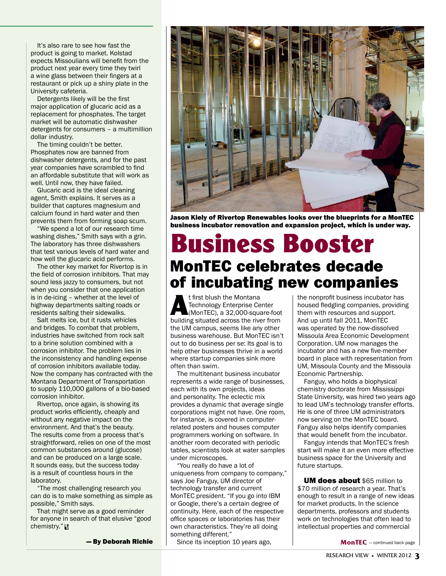It's also rare to see how fast the product is going to market. Kolstad expects Missoulians will benefit from the product next year every time they twirl a wine glass between their fingers at a restaurant or pick up a shiny plate in the University cafeteria.

Detergents likely will be the first major application of glucaric acid as a replacement for phosphates. The target market will be automatic dishwasher detergents for consumers – a multimillion dollar industry.

The timing couldn't be better. Phosphates now are banned from dishwasher detergents, and for the past year companies have scrambled to find an affordable substitute that will work as well. Until now, they have failed.

Glucaric acid is the ideal cleaning agent, Smith explains. It serves as a builder that captures magnesium and calcium found in hard water and then prevents them from forming soap scum.

"We spend a lot of our research time washing dishes," Smith says with a grin. The laboratory has three dishwashers that test various levels of hard water and how well the glucaric acid performs.

The other key market for Rivertop is in the field of corrosion inhibitors. That may sound less jazzy to consumers, but not when you consider that one application is in de-icing – whether at the level of highway departments salting roads or residents salting their sidewalks.

Salt melts ice, but it rusts vehicles and bridges. To combat that problem, industries have switched from rock salt to a brine solution combined with a corrosion inhibitor. The problem lies in the inconsistency and handling expense of corrosion inhibitors available today. Now the company has contracted with the Montana Department of Transportation to supply 110,000 gallons of a bio-based corrosion inhibitor.

Rivertop, once again, is showing its product works efficiently, cheaply and without any negative impact on the environment. And that's the beauty. The results come from a process that's straightforward, relies on one of the most common substances around (glucose) and can be produced on a large scale. It sounds easy, but the success today is a result of countless hours in the laboratory.

"The most challenging research you can do is to make something as simple as possible," Smith says.

That might serve as a good reminder for anyone in search of that elusive "good chemistry." R V

— By Deborah Richie



Jason Kiely of Rivertop Renewables looks over the blueprints for a MonTEC business incubator renovation and expansion project, which is under way.

## **Business Booster** MonTEC celebrates decade of incubating new companies

**A**t first blush the Montana<br>
Technology Enterprise Center<br>
(MonTEC), a 32,000-square-foot<br>
building situated across the river from Technology Enterprise Center building situated across the river from the UM campus, seems like any other business warehouse. But MonTEC isn't out to do business per se: Its goal is to help other businesses thrive in a world where startup companies sink more often than swim.

The multitenant business incubator represents a wide range of businesses, each with its own projects, ideas and personality. The eclectic mix provides a dynamic that average single corporations might not have. One room, for instance, is covered in computerrelated posters and houses computer programmers working on software. In another room decorated with periodic tables, scientists look at water samples under microscopes.

"You really do have a lot of uniqueness from company to company," says Joe Fanguy, UM director of technology transfer and current MonTEC president. "If you go into IBM or Google, there's a certain degree of continuity. Here, each of the respective office spaces or laboratories has their own characteristics. They're all doing something different."

Since its inception 10 years ago,

the nonprofit business incubator has housed fledgling companies, providing them with resources and support. And up until fall 2011, MonTEC was operated by the now-dissolved Missoula Area Economic Development Corporation. UM now manages the incubator and has a new five-member board in place with representation from UM, Missoula County and the Missoula Economic Partnership.

Fanguy, who holds a biophysical chemistry doctorate from Mississippi State University, was hired two years ago to lead UM's technology transfer efforts. He is one of three UM administrators now serving on the MonTEC board. Fanguy also helps identify companies that would benefit from the incubator.

Fanguy intends that MonTEC's fresh start will make it an even more effective business space for the University and future startups.

**UM does about \$65 million to** \$70 million of research a year. That's enough to result in a range of new ideas for market products. In the science departments, professors and students work on technologies that often lead to intellectual properties and commercial

**MonTEC** — continued back page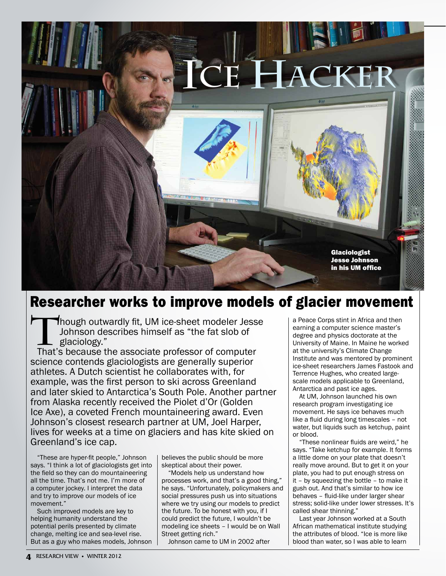

## Researcher works to improve models of glacier movement

Though outwardly fit, UM ice-sheet modeler Jesse Johnson describes himself as "the fat slob of glaciology."

That's because the associate professor of computer science contends glaciologists are generally superior athletes. A Dutch scientist he collaborates with, for example, was the first person to ski across Greenland and later skied to Antarctica's South Pole. Another partner from Alaska recently received the Piolet d'Or (Golden Ice Axe), a coveted French mountaineering award. Even Johnson's closest research partner at UM, Joel Harper, lives for weeks at a time on glaciers and has kite skied on Greenland's ice cap.

"These are hyper-fit people," Johnson says. "I think a lot of glaciologists get into the field so they can do mountaineering all the time. That's not me. I'm more of a computer jockey. I interpret the data and try to improve our models of ice movement."

Such improved models are key to helping humanity understand the potential perils presented by climate change, melting ice and sea-level rise. But as a guy who makes models, Johnson

believes the public should be more skeptical about their power.

"Models help us understand how processes work, and that's a good thing," he says. "Unfortunately, policymakers and social pressures push us into situations where we try using our models to predict the future. To be honest with you, if I could predict the future, I wouldn't be modeling ice sheets – I would be on Wall Street getting rich."

Johnson came to UM in 2002 after

a Peace Corps stint in Africa and then earning a computer science master's degree and physics doctorate at the University of Maine. In Maine he worked at the university's Climate Change Institute and was mentored by prominent ice-sheet researchers James Fastook and Terrence Hughes, who created largescale models applicable to Greenland, Antarctica and past ice ages.

At UM, Johnson launched his own research program investigating ice movement. He says ice behaves much like a fluid during long timescales – not water, but liquids such as ketchup, paint or blood.

"These nonlinear fluids are weird," he says. "Take ketchup for example. It forms a little dome on your plate that doesn't really move around. But to get it on your plate, you had to put enough stress on it – by squeezing the bottle – to make it gush out. And that's similar to how ice behaves – fluid-like under larger shear stress; solid-like under lower stresses. It's called shear thinning."

Last year Johnson worked at a South African mathematical institute studying the attributes of blood. "Ice is more like blood than water, so I was able to learn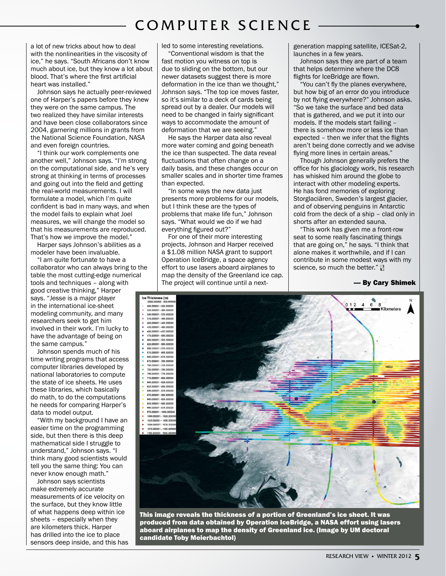#### COMPUTER SCIENCE

a lot of new tricks about how to deal with the nonlinearities in the viscosity of ice," he says. "South Africans don't know much about ice, but they know a lot about blood. That's where the first artificial heart was installed."

Johnson says he actually peer-reviewed one of Harper's papers before they knew they were on the same campus. The two realized they have similar interests and have been close collaborators since 2004, garnering millions in grants from the National Science Foundation, NASA and even foreign countries.

"I think our work complements one another well," Johnson says. "I'm strong on the computational side, and he's very strong at thinking in terms of processes and going out into the field and getting the real-world measurements. I will formulate a model, which I'm quite confident is bad in many ways, and when the model fails to explain what Joel measures, we will change the model so that his measurements are reproduced. That's how we improve the model."

Harper says Johnson's abilities as a modeler have been invaluable.

"I am quite fortunate to have a collaborator who can always bring to the table the most cutting-edge numerical tools and techniques – along with good creative thinking," Harper says. "Jesse is a major player in the international ice-sheet modeling community, and many researchers seek to get him involved in their work. I'm lucky to have the advantage of being on the same campus."

Johnson spends much of his time writing programs that access computer libraries developed by national laboratories to compute the state of ice sheets. He uses these libraries, which basically do math, to do the computations he needs for comparing Harper's data to model output.

"With my background I have an easier time on the programming side, but then there is this deep mathematical side I struggle to understand," Johnson says. "I think many good scientists would tell you the same thing: You can never know enough math."

Johnson says scientists make extremely accurate measurements of ice velocity on the surface, but they know little of what happens deep within ice sheets – especially when they are kilometers thick. Harper has drilled into the ice to place sensors deep inside, and this has led to some interesting revelations.

"Conventional wisdom is that the fast motion you witness on top is due to sliding on the bottom, but our newer datasets suggest there is more deformation in the ice than we thought," Johnson says. "The top ice moves faster, so it's similar to a deck of cards being spread out by a dealer. Our models will need to be changed in fairly significant ways to accommodate the amount of deformation that we are seeing."

He says the Harper data also reveal more water coming and going beneath the ice than suspected. The data reveal fluctuations that often change on a daily basis, and these changes occur on smaller scales and in shorter time frames than expected.

"In some ways the new data just presents more problems for our models, but I think these are the types of problems that make life fun," Johnson says. "What would we do if we had everything figured out?"

For one of their more interesting projects, Johnson and Harper received a \$1.08 million NASA grant to support Operation IceBridge, a space agency effort to use lasers aboard airplanes to map the density of the Greenland ice cap. The project will continue until a nextgeneration mapping satellite, ICESat-2, launches in a few years.

Johnson says they are part of a team that helps determine where the DC8 flights for IceBridge are flown.

"You can't fly the planes everywhere, but how big of an error do you introduce by not flying everywhere?" Johnson asks. "So we take the surface and bed data that is gathered, and we put it into our models. If the models start failing – there is somehow more or less ice than expected – then we infer that the flights aren't being done correctly and we advise flying more lines in certain areas."

Though Johnson generally prefers the office for his glaciology work, his research has whisked him around the globe to interact with other modeling experts. He has fond memories of exploring Storglaciären, Sweden's largest glacier, and of observing penguins in Antarctic cold from the deck of a ship – clad only in shorts after an extended sauna.

"This work has given me a front-row seat to some really fascinating things that are going on," he says. "I think that alone makes it worthwhile, and if I can contribute in some modest ways with my science, so much the better."  $\mathbb R$ 

— By Cary Shimek



This image reveals the thickness of a portion of Greenland's ice sheet. It was produced from data obtained by Operation IceBridge, a NASA effort using lasers aboard airplanes to map the density of Greenland ice. (Image by UM doctoral candidate Toby Meierbachtol)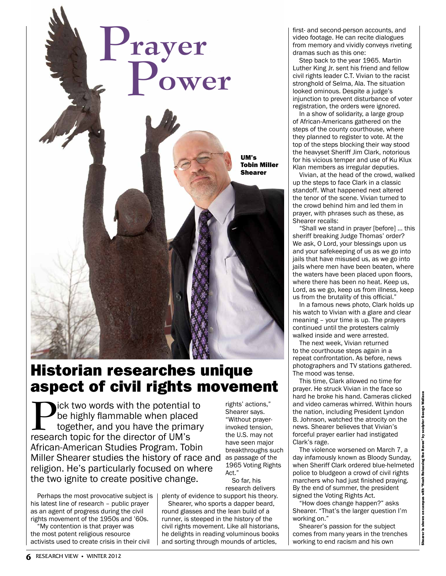

## Historian researches unique aspect of civil rights movement

**Pick two words with the potential to** be highly flammable when placed together, and you have the primary research topic for the director of UM's African-American Studies Program. Tobin Miller Shearer studies the history of race and religion. He's particularly focused on where the two ignite to create positive change.

Perhaps the most provocative subject is his latest line of research – public prayer as an agent of progress during the civil rights movement of the 1950s and '60s.

"My contention is that prayer was the most potent religious resource activists used to create crisis in their civil

rights' actions," Shearer says. "Without prayerinvoked tension, the U.S. may not have seen major breakthroughs such as passage of the 1965 Voting Rights Act." So far, his

research delivers plenty of evidence to support his theory.

Shearer, who sports a dapper beard, round glasses and the lean build of a runner, is steeped in the history of the civil rights movement. Like all historians, he delights in reading voluminous books and sorting through mounds of articles,

the tenor of the scene. Vivian turned to the crowd behind him and led them in prayer, with phrases such as these, as Shearer recalls: "Shall we stand in prayer [before] … this sheriff breaking Judge Thomas' order? We ask, O Lord, your blessings upon us and your safekeeping of us as we go into jails that have misused us, as we go into jails where men have been beaten, where the waters have been placed upon floors,

where there has been no heat. Keep us, Lord, as we go, keep us from illness, keep us from the brutality of this official."

first- and second-person accounts, and video footage. He can recite dialogues from memory and vividly conveys riveting

Step back to the year 1965. Martin Luther King Jr. sent his friend and fellow civil rights leader C.T. Vivian to the racist stronghold of Selma, Ala. The situation looked ominous. Despite a judge's injunction to prevent disturbance of voter registration, the orders were ignored. In a show of solidarity, a large group of African-Americans gathered on the steps of the county courthouse, where they planned to register to vote. At the top of the steps blocking their way stood the heavyset Sheriff Jim Clark, notorious for his vicious temper and use of Ku Klux Klan members as irregular deputies. Vivian, at the head of the crowd, walked up the steps to face Clark in a classic standoff. What happened next altered

dramas such as this one:

In a famous news photo, Clark holds up his watch to Vivian with a glare and clear meaning – your time is up. The prayers continued until the protesters calmly walked inside and were arrested.

The next week, Vivian returned to the courthouse steps again in a repeat confrontation. As before, news photographers and TV stations gathered. The mood was tense.

This time, Clark allowed no time for prayer. He struck Vivian in the face so hard he broke his hand. Cameras clicked and video cameras whirred. Within hours the nation, including President Lyndon B. Johnson, watched the atrocity on the news. Shearer believes that Vivian's forceful prayer earlier had instigated Clark's rage.

The violence worsened on March 7, a day infamously known as Bloody Sunday, when Sheriff Clark ordered blue-helmeted police to bludgeon a crowd of civil rights marchers who had just finished praying. By the end of summer, the president signed the Voting Rights Act.

"How does change happen?" asks Shearer. "That's the larger question I'm working on."

Shearer's passion for the subject comes from many years in the trenches working to end racism and his own

Shearer is shown on campus with "Noah Releasing the Raven" by sculptor George Wallace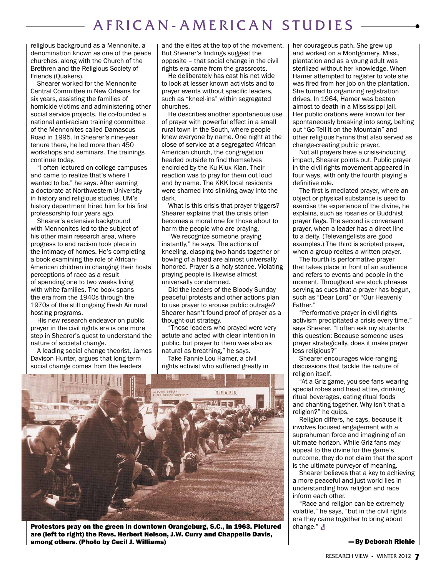## AFRICAN-AMERICAN STUDIES

religious background as a Mennonite, a denomination known as one of the peace churches, along with the Church of the Brethren and the Religious Society of Friends (Quakers).

Shearer worked for the Mennonite Central Committee in New Orleans for six years, assisting the families of homicide victims and administering other social service projects. He co-founded a national anti-racism training committee of the Mennonites called Damascus Road in 1995. In Shearer's nine-year tenure there, he led more than 450 workshops and seminars. The trainings continue today.

"I often lectured on college campuses and came to realize that's where I wanted to be," he says. After earning a doctorate at Northwestern University in history and religious studies, UM's history department hired him for his first professorship four years ago.

Shearer's extensive background with Mennonites led to the subject of his other main research area, where progress to end racism took place in the intimacy of homes. He's completing a book examining the role of African-American children in changing their hosts' perceptions of race as a result of spending one to two weeks living with white families. The book spans the era from the 1940s through the 1970s of the still ongoing Fresh Air rural hosting programs.

His new research endeavor on public prayer in the civil rights era is one more step in Shearer's quest to understand the nature of societal change.

A leading social change theorist, James Davison Hunter, argues that long-term social change comes from the leaders

and the elites at the top of the movement. But Shearer's findings suggest the opposite – that social change in the civil rights era came from the grassroots.

He deliberately has cast his net wide to look at lesser-known activists and to prayer events without specific leaders, such as "kneel-ins" within segregated churches.

He describes another spontaneous use of prayer with powerful effect in a small rural town in the South, where people knew everyone by name. One night at the close of service at a segregated African-American church, the congregation headed outside to find themselves encircled by the Ku Klux Klan. Their reaction was to pray for them out loud and by name. The KKK local residents were shamed into slinking away into the dark.

What is this crisis that prayer triggers? Shearer explains that the crisis often becomes a moral one for those about to harm the people who are praying.

"We recognize someone praying instantly," he says. The actions of kneeling, clasping two hands together or bowing of a head are almost universally honored. Prayer is a holy stance. Violating praying people is likewise almost universally condemned.

Did the leaders of the Bloody Sunday peaceful protests and other actions plan to use prayer to arouse public outrage? Shearer hasn't found proof of prayer as a thought-out strategy.

"Those leaders who prayed were very astute and acted with clear intention in public, but prayer to them was also as natural as breathing," he says.

Take Fannie Lou Hamer, a civil rights activist who suffered greatly in



Protestors pray on the green in downtown Orangeburg, S.C., in 1963. Pictured are (left to right) the Revs. Herbert Nelson, J.W. Curry and Chappelle Davis, among others. (Photo by Cecil J. Williams)

her courageous path. She grew up and worked on a Montgomery, Miss., plantation and as a young adult was sterilized without her knowledge. When Hamer attempted to register to vote she was fired from her job on the plantation. She turned to organizing registration drives. In 1964, Hamer was beaten almost to death in a Mississippi jail. Her public orations were known for her spontaneously breaking into song, belting out "Go Tell it on the Mountain" and other religious hymns that also served as change-creating public prayer.

Not all prayers have a crisis-inducing impact, Shearer points out. Public prayer in the civil rights movement appeared in four ways, with only the fourth playing a definitive role.

The first is mediated prayer, where an object or physical substance is used to exercise the experience of the divine, he explains, such as rosaries or Buddhist prayer flags. The second is conversant prayer, when a leader has a direct line to a deity. (Televangelists are good examples.) The third is scripted prayer, when a group recites a written prayer.

The fourth is performative prayer that takes place in front of an audience and refers to events and people in the moment. Throughout are stock phrases serving as cues that a prayer has begun, such as "Dear Lord" or "Our Heavenly Father."

"Performative prayer in civil rights activism precipitated a crisis every time," says Shearer. "I often ask my students this question: Because someone uses prayer strategically, does it make prayer less religious?"

Shearer encourages wide-ranging discussions that tackle the nature of religion itself.

"At a Griz game, you see fans wearing special robes and head attire, drinking ritual beverages, eating ritual foods and chanting together. Why isn't that a religion?" he quips.

Religion differs, he says, because it involves focused engagement with a suprahuman force and imagining of an ultimate horizon. While Griz fans may appeal to the divine for the game's outcome, they do not claim that the sport is the ultimate purveyor of meaning.

Shearer believes that a key to achieving a more peaceful and just world lies in understanding how religion and race inform each other.

Race and religion can be extremely volatile," he says, "but in the civil rights era they came together to bring about change." <mark>R</mark>